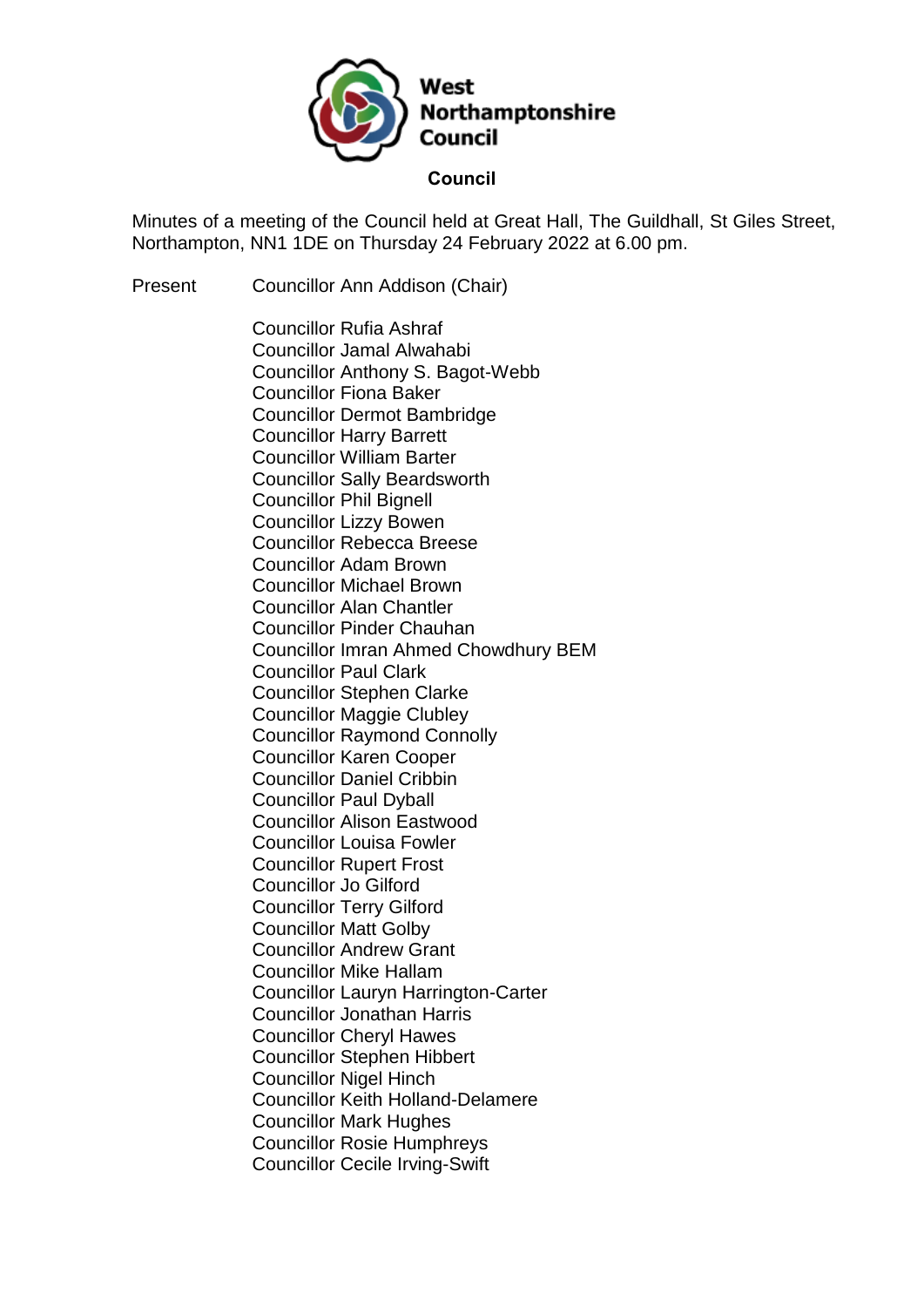

Minutes of a meeting of the Council held at Great Hall, The Guildhall, St Giles Street, Northampton, NN1 1DE on Thursday 24 February 2022 at 6.00 pm.

Present Councillor Ann Addison (Chair)

Councillor Rufia Ashraf Councillor Jamal Alwahabi Councillor Anthony S. Bagot-Webb Councillor Fiona Baker Councillor Dermot Bambridge Councillor Harry Barrett Councillor William Barter Councillor Sally Beardsworth Councillor Phil Bignell Councillor Lizzy Bowen Councillor Rebecca Breese Councillor Adam Brown Councillor Michael Brown Councillor Alan Chantler Councillor Pinder Chauhan Councillor Imran Ahmed Chowdhury BEM Councillor Paul Clark Councillor Stephen Clarke Councillor Maggie Clubley Councillor Raymond Connolly Councillor Karen Cooper Councillor Daniel Cribbin Councillor Paul Dyball Councillor Alison Eastwood Councillor Louisa Fowler Councillor Rupert Frost Councillor Jo Gilford Councillor Terry Gilford Councillor Matt Golby Councillor Andrew Grant Councillor Mike Hallam Councillor Lauryn Harrington-Carter Councillor Jonathan Harris Councillor Cheryl Hawes Councillor Stephen Hibbert Councillor Nigel Hinch Councillor Keith Holland-Delamere Councillor Mark Hughes Councillor Rosie Humphreys Councillor Cecile Irving-Swift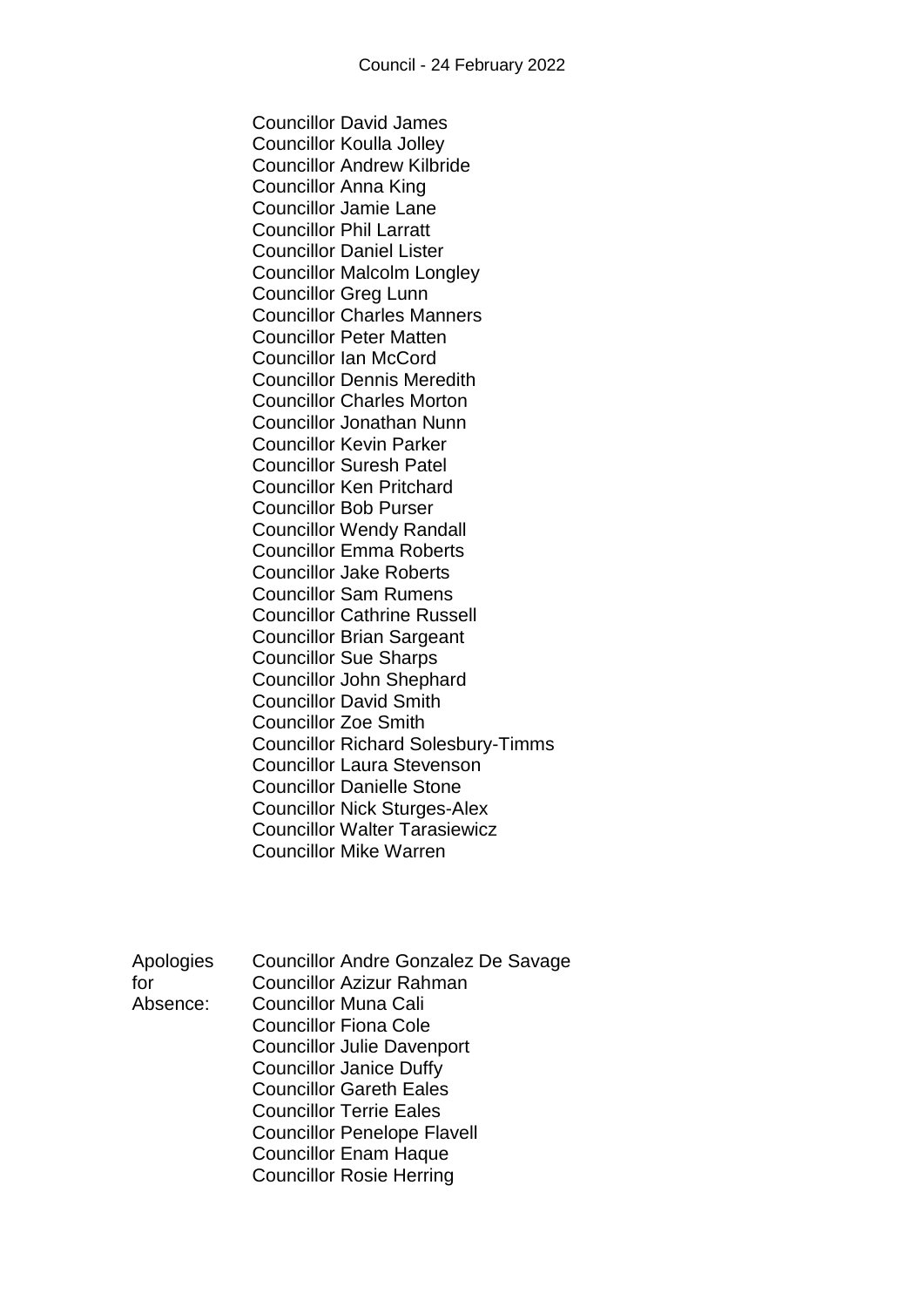Councillor David James Councillor Koulla Jolley Councillor Andrew Kilbride Councillor Anna King Councillor Jamie Lane Councillor Phil Larratt Councillor Daniel Lister Councillor Malcolm Longley Councillor Greg Lunn Councillor Charles Manners Councillor Peter Matten Councillor Ian McCord Councillor Dennis Meredith Councillor Charles Morton Councillor Jonathan Nunn Councillor Kevin Parker Councillor Suresh Patel Councillor Ken Pritchard Councillor Bob Purser Councillor Wendy Randall Councillor Emma Roberts Councillor Jake Roberts Councillor Sam Rumens Councillor Cathrine Russell Councillor Brian Sargeant Councillor Sue Sharps Councillor John Shephard Councillor David Smith Councillor Zoe Smith Councillor Richard Solesbury-Timms Councillor Laura Stevenson Councillor Danielle Stone Councillor Nick Sturges-Alex Councillor Walter Tarasiewicz Councillor Mike Warren

| Apologies | <b>Councillor Andre Gonzalez De Savage</b> |
|-----------|--------------------------------------------|
| for       | <b>Councillor Azizur Rahman</b>            |
| Absence:  | <b>Councillor Muna Cali</b>                |
|           | <b>Councillor Fiona Cole</b>               |
|           | <b>Councillor Julie Davenport</b>          |
|           | <b>Councillor Janice Duffy</b>             |
|           | <b>Councillor Gareth Eales</b>             |
|           | <b>Councillor Terrie Eales</b>             |
|           | <b>Councillor Penelope Flavell</b>         |
|           | <b>Councillor Enam Haque</b>               |
|           | <b>Councillor Rosie Herring</b>            |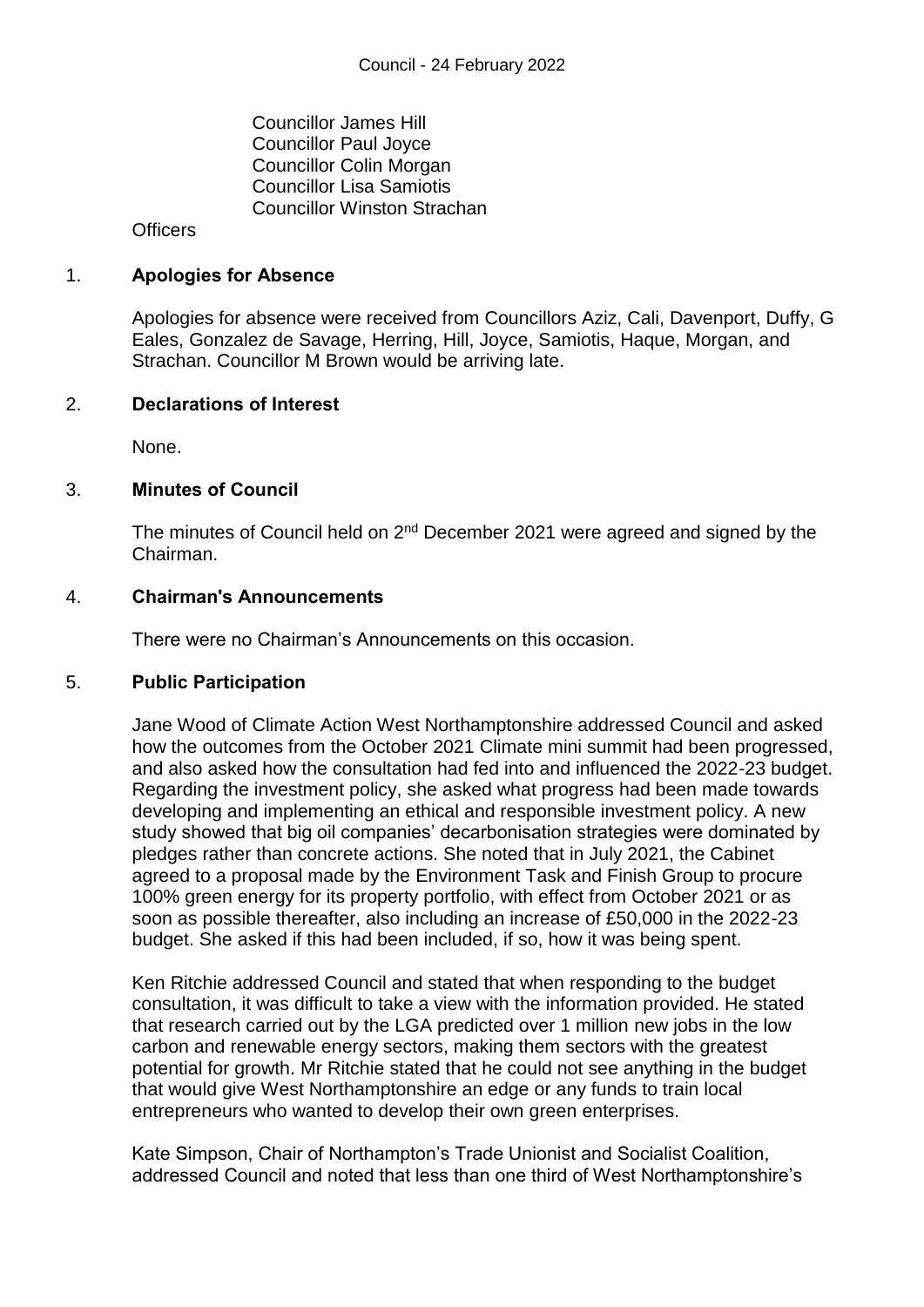Councillor James Hill Councillor Paul Joyce Councillor Colin Morgan Councillor Lisa Samiotis Councillor Winston Strachan

**Officers** 

#### 1. **Apologies for Absence**

Apologies for absence were received from Councillors Aziz, Cali, Davenport, Duffy, G Eales, Gonzalez de Savage, Herring, Hill, Joyce, Samiotis, Haque, Morgan, and Strachan. Councillor M Brown would be arriving late.

#### 2. **Declarations of Interest**

None.

#### 3. **Minutes of Council**

The minutes of Council held on 2<sup>nd</sup> December 2021 were agreed and signed by the Chairman.

#### 4. **Chairman's Announcements**

There were no Chairman's Announcements on this occasion.

#### 5. **Public Participation**

Jane Wood of Climate Action West Northamptonshire addressed Council and asked how the outcomes from the October 2021 Climate mini summit had been progressed, and also asked how the consultation had fed into and influenced the 2022-23 budget. Regarding the investment policy, she asked what progress had been made towards developing and implementing an ethical and responsible investment policy. A new study showed that big oil companies' decarbonisation strategies were dominated by pledges rather than concrete actions. She noted that in July 2021, the Cabinet agreed to a proposal made by the Environment Task and Finish Group to procure 100% green energy for its property portfolio, with effect from October 2021 or as soon as possible thereafter, also including an increase of £50,000 in the 2022-23 budget. She asked if this had been included, if so, how it was being spent.

Ken Ritchie addressed Council and stated that when responding to the budget consultation, it was difficult to take a view with the information provided. He stated that research carried out by the LGA predicted over 1 million new jobs in the low carbon and renewable energy sectors, making them sectors with the greatest potential for growth. Mr Ritchie stated that he could not see anything in the budget that would give West Northamptonshire an edge or any funds to train local entrepreneurs who wanted to develop their own green enterprises.

Kate Simpson, Chair of Northampton's Trade Unionist and Socialist Coalition, addressed Council and noted that less than one third of West Northamptonshire's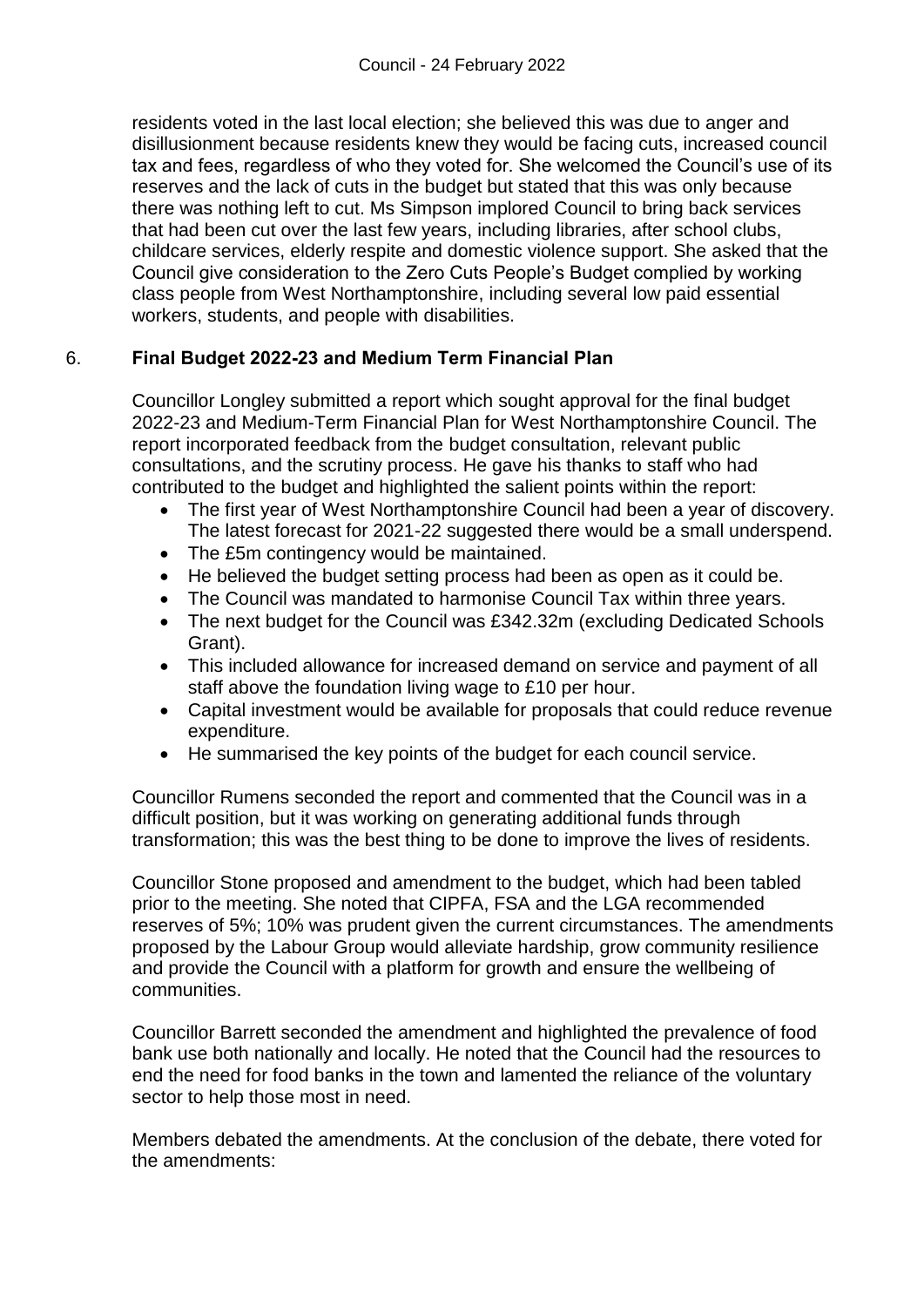residents voted in the last local election; she believed this was due to anger and disillusionment because residents knew they would be facing cuts, increased council tax and fees, regardless of who they voted for. She welcomed the Council's use of its reserves and the lack of cuts in the budget but stated that this was only because there was nothing left to cut. Ms Simpson implored Council to bring back services that had been cut over the last few years, including libraries, after school clubs, childcare services, elderly respite and domestic violence support. She asked that the Council give consideration to the Zero Cuts People's Budget complied by working class people from West Northamptonshire, including several low paid essential workers, students, and people with disabilities.

# 6. **Final Budget 2022-23 and Medium Term Financial Plan**

Councillor Longley submitted a report which sought approval for the final budget 2022-23 and Medium-Term Financial Plan for West Northamptonshire Council. The report incorporated feedback from the budget consultation, relevant public consultations, and the scrutiny process. He gave his thanks to staff who had contributed to the budget and highlighted the salient points within the report:

- The first year of West Northamptonshire Council had been a year of discovery. The latest forecast for 2021-22 suggested there would be a small underspend.
- The £5m contingency would be maintained.
- He believed the budget setting process had been as open as it could be.
- The Council was mandated to harmonise Council Tax within three years.
- The next budget for the Council was £342.32m (excluding Dedicated Schools Grant).
- This included allowance for increased demand on service and payment of all staff above the foundation living wage to £10 per hour.
- Capital investment would be available for proposals that could reduce revenue expenditure.
- He summarised the key points of the budget for each council service.

Councillor Rumens seconded the report and commented that the Council was in a difficult position, but it was working on generating additional funds through transformation; this was the best thing to be done to improve the lives of residents.

Councillor Stone proposed and amendment to the budget, which had been tabled prior to the meeting. She noted that CIPFA, FSA and the LGA recommended reserves of 5%; 10% was prudent given the current circumstances. The amendments proposed by the Labour Group would alleviate hardship, grow community resilience and provide the Council with a platform for growth and ensure the wellbeing of communities.

Councillor Barrett seconded the amendment and highlighted the prevalence of food bank use both nationally and locally. He noted that the Council had the resources to end the need for food banks in the town and lamented the reliance of the voluntary sector to help those most in need.

Members debated the amendments. At the conclusion of the debate, there voted for the amendments: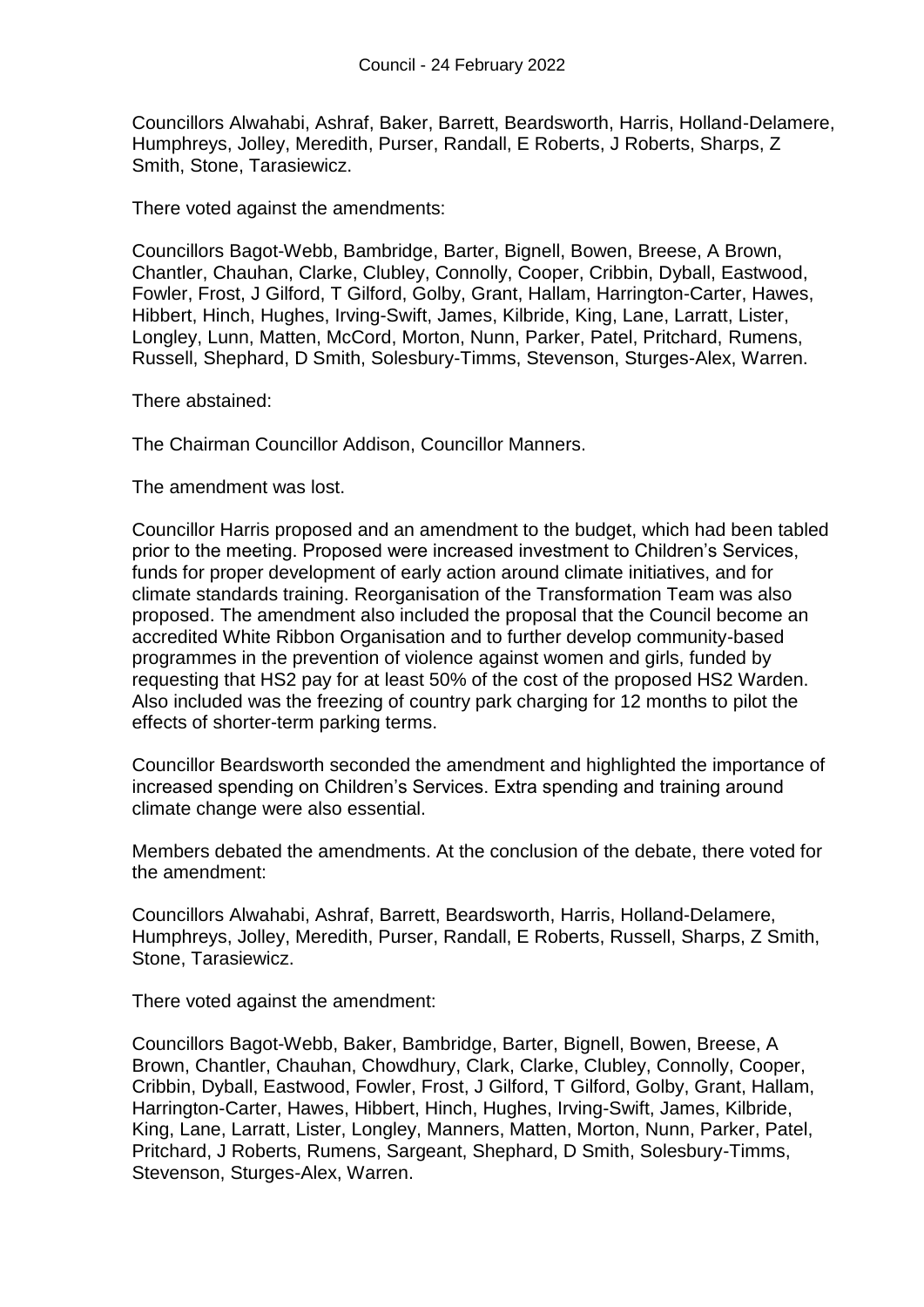Councillors Alwahabi, Ashraf, Baker, Barrett, Beardsworth, Harris, Holland-Delamere, Humphreys, Jolley, Meredith, Purser, Randall, E Roberts, J Roberts, Sharps, Z Smith, Stone, Tarasiewicz.

There voted against the amendments:

Councillors Bagot-Webb, Bambridge, Barter, Bignell, Bowen, Breese, A Brown, Chantler, Chauhan, Clarke, Clubley, Connolly, Cooper, Cribbin, Dyball, Eastwood, Fowler, Frost, J Gilford, T Gilford, Golby, Grant, Hallam, Harrington-Carter, Hawes, Hibbert, Hinch, Hughes, Irving-Swift, James, Kilbride, King, Lane, Larratt, Lister, Longley, Lunn, Matten, McCord, Morton, Nunn, Parker, Patel, Pritchard, Rumens, Russell, Shephard, D Smith, Solesbury-Timms, Stevenson, Sturges-Alex, Warren.

There abstained:

The Chairman Councillor Addison, Councillor Manners.

The amendment was lost.

Councillor Harris proposed and an amendment to the budget, which had been tabled prior to the meeting. Proposed were increased investment to Children's Services, funds for proper development of early action around climate initiatives, and for climate standards training. Reorganisation of the Transformation Team was also proposed. The amendment also included the proposal that the Council become an accredited White Ribbon Organisation and to further develop community-based programmes in the prevention of violence against women and girls, funded by requesting that HS2 pay for at least 50% of the cost of the proposed HS2 Warden. Also included was the freezing of country park charging for 12 months to pilot the effects of shorter-term parking terms.

Councillor Beardsworth seconded the amendment and highlighted the importance of increased spending on Children's Services. Extra spending and training around climate change were also essential.

Members debated the amendments. At the conclusion of the debate, there voted for the amendment:

Councillors Alwahabi, Ashraf, Barrett, Beardsworth, Harris, Holland-Delamere, Humphreys, Jolley, Meredith, Purser, Randall, E Roberts, Russell, Sharps, Z Smith, Stone, Tarasiewicz.

There voted against the amendment:

Councillors Bagot-Webb, Baker, Bambridge, Barter, Bignell, Bowen, Breese, A Brown, Chantler, Chauhan, Chowdhury, Clark, Clarke, Clubley, Connolly, Cooper, Cribbin, Dyball, Eastwood, Fowler, Frost, J Gilford, T Gilford, Golby, Grant, Hallam, Harrington-Carter, Hawes, Hibbert, Hinch, Hughes, Irving-Swift, James, Kilbride, King, Lane, Larratt, Lister, Longley, Manners, Matten, Morton, Nunn, Parker, Patel, Pritchard, J Roberts, Rumens, Sargeant, Shephard, D Smith, Solesbury-Timms, Stevenson, Sturges-Alex, Warren.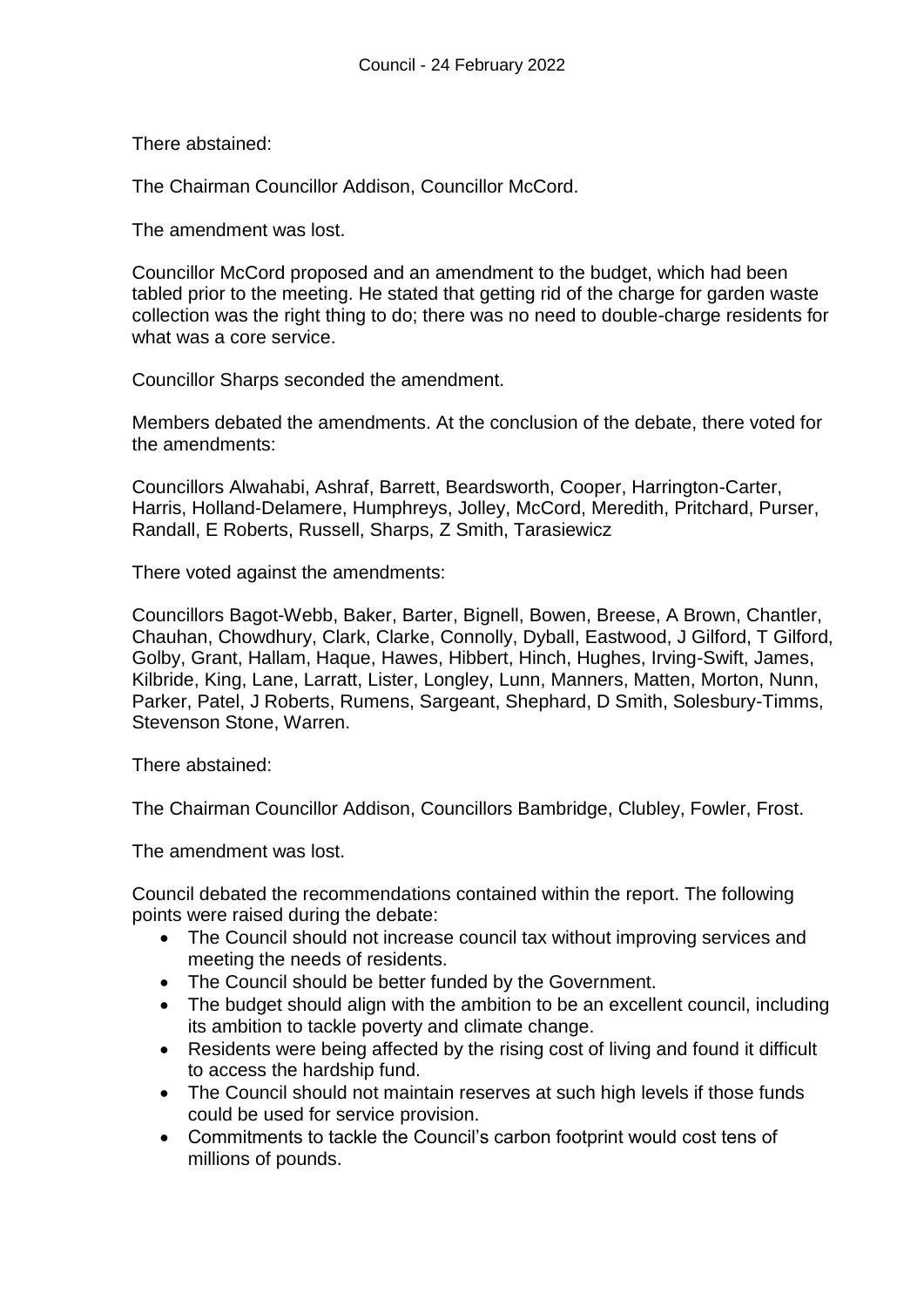There abstained:

The Chairman Councillor Addison, Councillor McCord.

The amendment was lost.

Councillor McCord proposed and an amendment to the budget, which had been tabled prior to the meeting. He stated that getting rid of the charge for garden waste collection was the right thing to do; there was no need to double-charge residents for what was a core service.

Councillor Sharps seconded the amendment.

Members debated the amendments. At the conclusion of the debate, there voted for the amendments:

Councillors Alwahabi, Ashraf, Barrett, Beardsworth, Cooper, Harrington-Carter, Harris, Holland-Delamere, Humphreys, Jolley, McCord, Meredith, Pritchard, Purser, Randall, E Roberts, Russell, Sharps, Z Smith, Tarasiewicz

There voted against the amendments:

Councillors Bagot-Webb, Baker, Barter, Bignell, Bowen, Breese, A Brown, Chantler, Chauhan, Chowdhury, Clark, Clarke, Connolly, Dyball, Eastwood, J Gilford, T Gilford, Golby, Grant, Hallam, Haque, Hawes, Hibbert, Hinch, Hughes, Irving-Swift, James, Kilbride, King, Lane, Larratt, Lister, Longley, Lunn, Manners, Matten, Morton, Nunn, Parker, Patel, J Roberts, Rumens, Sargeant, Shephard, D Smith, Solesbury-Timms, Stevenson Stone, Warren.

There abstained:

The Chairman Councillor Addison, Councillors Bambridge, Clubley, Fowler, Frost.

The amendment was lost.

Council debated the recommendations contained within the report. The following points were raised during the debate:

- The Council should not increase council tax without improving services and meeting the needs of residents.
- The Council should be better funded by the Government.
- The budget should align with the ambition to be an excellent council, including its ambition to tackle poverty and climate change.
- Residents were being affected by the rising cost of living and found it difficult to access the hardship fund.
- The Council should not maintain reserves at such high levels if those funds could be used for service provision.
- Commitments to tackle the Council's carbon footprint would cost tens of millions of pounds.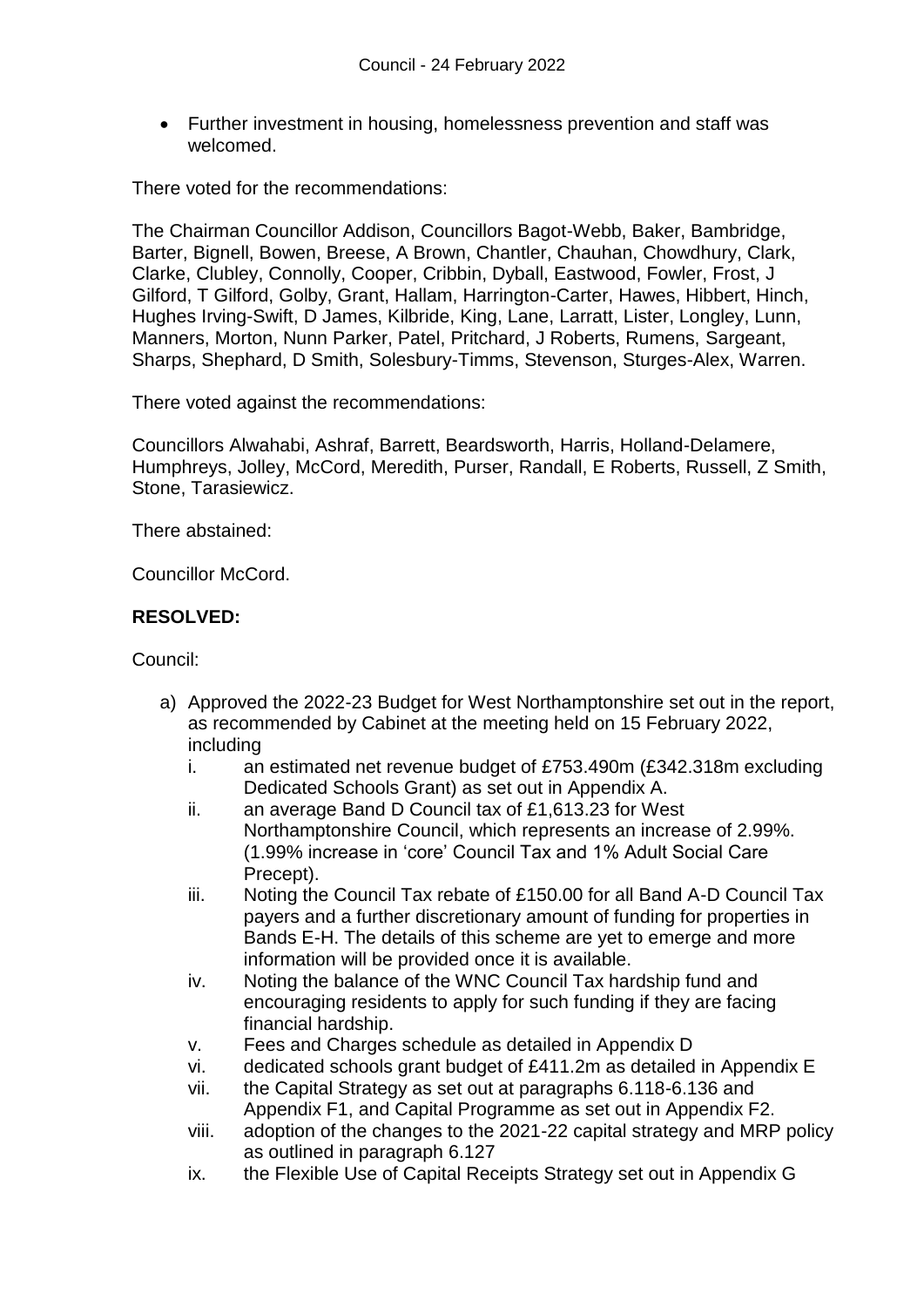Further investment in housing, homelessness prevention and staff was welcomed.

There voted for the recommendations:

The Chairman Councillor Addison, Councillors Bagot-Webb, Baker, Bambridge, Barter, Bignell, Bowen, Breese, A Brown, Chantler, Chauhan, Chowdhury, Clark, Clarke, Clubley, Connolly, Cooper, Cribbin, Dyball, Eastwood, Fowler, Frost, J Gilford, T Gilford, Golby, Grant, Hallam, Harrington-Carter, Hawes, Hibbert, Hinch, Hughes Irving-Swift, D James, Kilbride, King, Lane, Larratt, Lister, Longley, Lunn, Manners, Morton, Nunn Parker, Patel, Pritchard, J Roberts, Rumens, Sargeant, Sharps, Shephard, D Smith, Solesbury-Timms, Stevenson, Sturges-Alex, Warren.

There voted against the recommendations:

Councillors Alwahabi, Ashraf, Barrett, Beardsworth, Harris, Holland-Delamere, Humphreys, Jolley, McCord, Meredith, Purser, Randall, E Roberts, Russell, Z Smith, Stone, Tarasiewicz.

There abstained:

Councillor McCord.

# **RESOLVED:**

Council:

- a) Approved the 2022-23 Budget for West Northamptonshire set out in the report, as recommended by Cabinet at the meeting held on 15 February 2022, including
	- i. an estimated net revenue budget of £753.490m (£342.318m excluding Dedicated Schools Grant) as set out in Appendix A.
	- ii. an average Band D Council tax of £1,613.23 for West Northamptonshire Council, which represents an increase of 2.99%. (1.99% increase in 'core' Council Tax and 1% Adult Social Care Precept).
	- iii. Noting the Council Tax rebate of £150.00 for all Band A-D Council Tax payers and a further discretionary amount of funding for properties in Bands E-H. The details of this scheme are yet to emerge and more information will be provided once it is available.
	- iv. Noting the balance of the WNC Council Tax hardship fund and encouraging residents to apply for such funding if they are facing financial hardship.
	- v. Fees and Charges schedule as detailed in Appendix D
	- vi. dedicated schools grant budget of £411.2m as detailed in Appendix E
	- vii. the Capital Strategy as set out at paragraphs 6.118-6.136 and Appendix F1, and Capital Programme as set out in Appendix F2.
	- viii. adoption of the changes to the 2021-22 capital strategy and MRP policy as outlined in paragraph 6.127
	- ix. the Flexible Use of Capital Receipts Strategy set out in Appendix G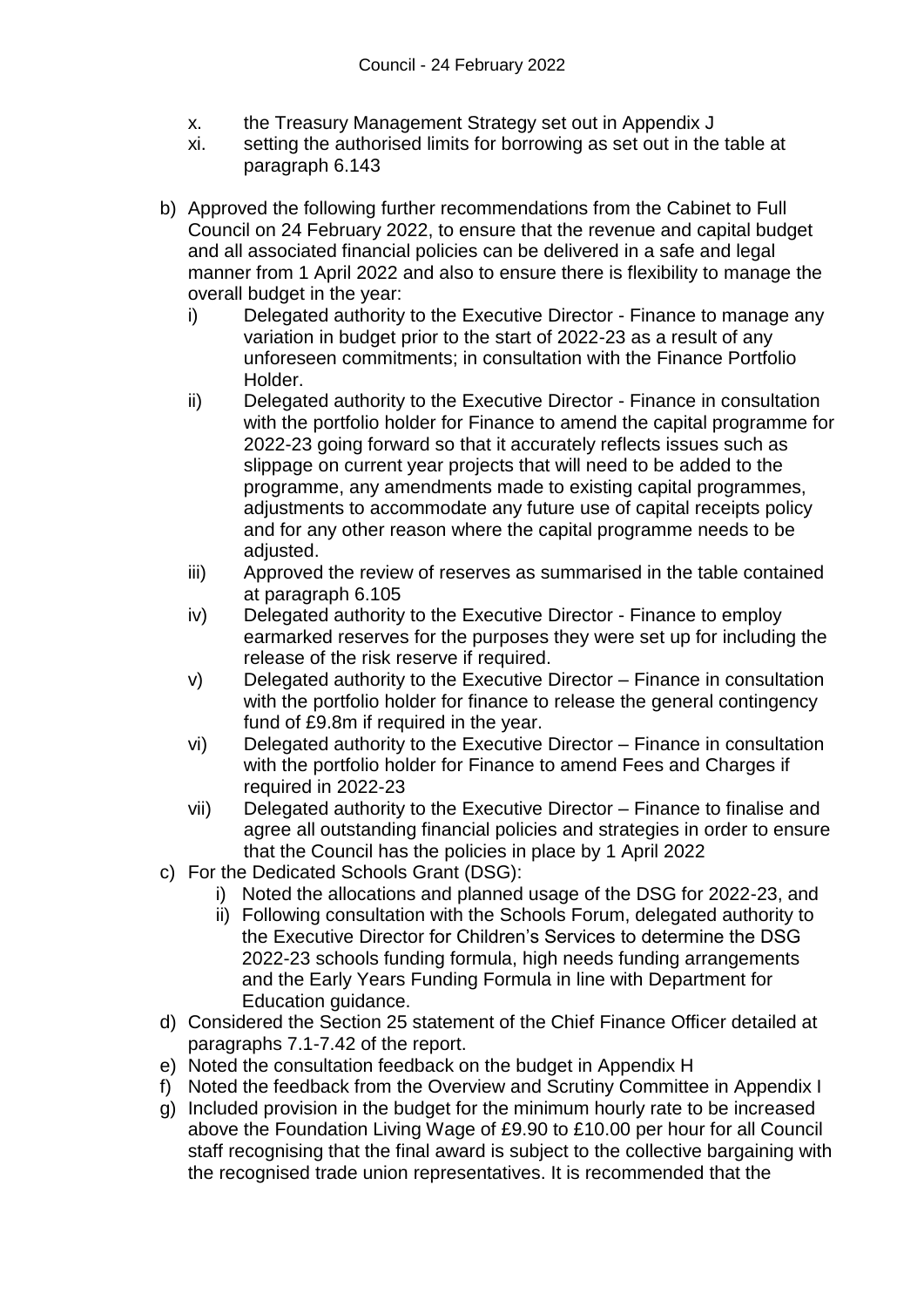- x. the Treasury Management Strategy set out in Appendix J
- xi. setting the authorised limits for borrowing as set out in the table at paragraph 6.143
- b) Approved the following further recommendations from the Cabinet to Full Council on 24 February 2022, to ensure that the revenue and capital budget and all associated financial policies can be delivered in a safe and legal manner from 1 April 2022 and also to ensure there is flexibility to manage the overall budget in the year:
	- i) Delegated authority to the Executive Director Finance to manage any variation in budget prior to the start of 2022-23 as a result of any unforeseen commitments; in consultation with the Finance Portfolio Holder.
	- ii) Delegated authority to the Executive Director Finance in consultation with the portfolio holder for Finance to amend the capital programme for 2022-23 going forward so that it accurately reflects issues such as slippage on current year projects that will need to be added to the programme, any amendments made to existing capital programmes, adjustments to accommodate any future use of capital receipts policy and for any other reason where the capital programme needs to be adjusted.
	- iii) Approved the review of reserves as summarised in the table contained at paragraph 6.105
	- iv) Delegated authority to the Executive Director Finance to employ earmarked reserves for the purposes they were set up for including the release of the risk reserve if required.
	- v) Delegated authority to the Executive Director Finance in consultation with the portfolio holder for finance to release the general contingency fund of £9.8m if required in the year.
	- vi) Delegated authority to the Executive Director Finance in consultation with the portfolio holder for Finance to amend Fees and Charges if required in 2022-23
	- vii) Delegated authority to the Executive Director Finance to finalise and agree all outstanding financial policies and strategies in order to ensure that the Council has the policies in place by 1 April 2022
- c) For the Dedicated Schools Grant (DSG):
	- i) Noted the allocations and planned usage of the DSG for 2022-23, and
	- ii) Following consultation with the Schools Forum, delegated authority to the Executive Director for Children's Services to determine the DSG 2022-23 schools funding formula, high needs funding arrangements and the Early Years Funding Formula in line with Department for Education guidance.
- d) Considered the Section 25 statement of the Chief Finance Officer detailed at paragraphs 7.1-7.42 of the report.
- e) Noted the consultation feedback on the budget in Appendix H
- f) Noted the feedback from the Overview and Scrutiny Committee in Appendix I
- g) Included provision in the budget for the minimum hourly rate to be increased above the Foundation Living Wage of £9.90 to £10.00 per hour for all Council staff recognising that the final award is subject to the collective bargaining with the recognised trade union representatives. It is recommended that the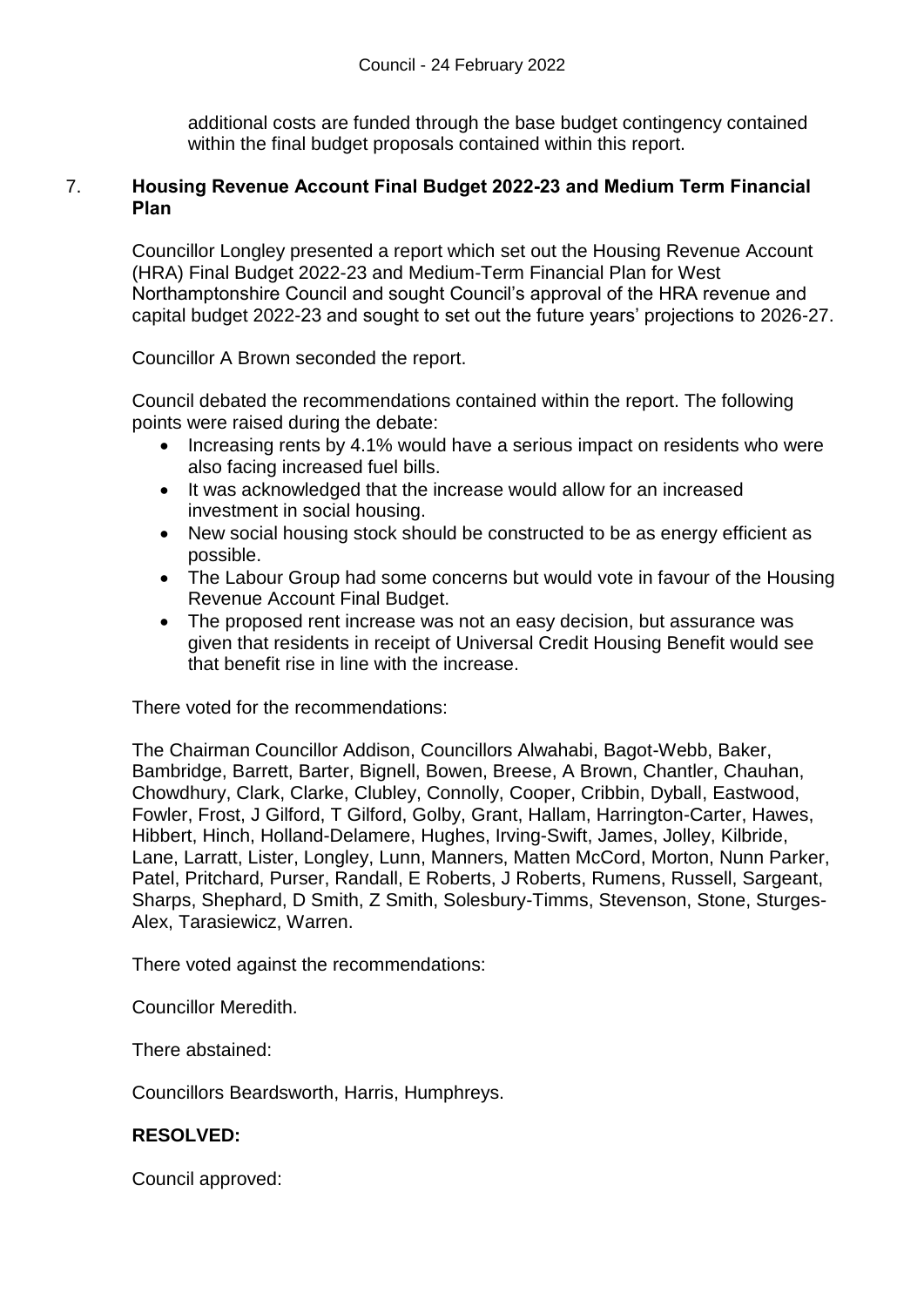additional costs are funded through the base budget contingency contained within the final budget proposals contained within this report.

### 7. **Housing Revenue Account Final Budget 2022-23 and Medium Term Financial Plan**

Councillor Longley presented a report which set out the Housing Revenue Account (HRA) Final Budget 2022-23 and Medium-Term Financial Plan for West Northamptonshire Council and sought Council's approval of the HRA revenue and capital budget 2022-23 and sought to set out the future years' projections to 2026-27.

Councillor A Brown seconded the report.

Council debated the recommendations contained within the report. The following points were raised during the debate:

- Increasing rents by 4.1% would have a serious impact on residents who were also facing increased fuel bills.
- It was acknowledged that the increase would allow for an increased investment in social housing.
- New social housing stock should be constructed to be as energy efficient as possible.
- The Labour Group had some concerns but would vote in favour of the Housing Revenue Account Final Budget.
- The proposed rent increase was not an easy decision, but assurance was given that residents in receipt of Universal Credit Housing Benefit would see that benefit rise in line with the increase.

There voted for the recommendations:

The Chairman Councillor Addison, Councillors Alwahabi, Bagot-Webb, Baker, Bambridge, Barrett, Barter, Bignell, Bowen, Breese, A Brown, Chantler, Chauhan, Chowdhury, Clark, Clarke, Clubley, Connolly, Cooper, Cribbin, Dyball, Eastwood, Fowler, Frost, J Gilford, T Gilford, Golby, Grant, Hallam, Harrington-Carter, Hawes, Hibbert, Hinch, Holland-Delamere, Hughes, Irving-Swift, James, Jolley, Kilbride, Lane, Larratt, Lister, Longley, Lunn, Manners, Matten McCord, Morton, Nunn Parker, Patel, Pritchard, Purser, Randall, E Roberts, J Roberts, Rumens, Russell, Sargeant, Sharps, Shephard, D Smith, Z Smith, Solesbury-Timms, Stevenson, Stone, Sturges-Alex, Tarasiewicz, Warren.

There voted against the recommendations:

Councillor Meredith.

There abstained:

Councillors Beardsworth, Harris, Humphreys.

# **RESOLVED:**

Council approved: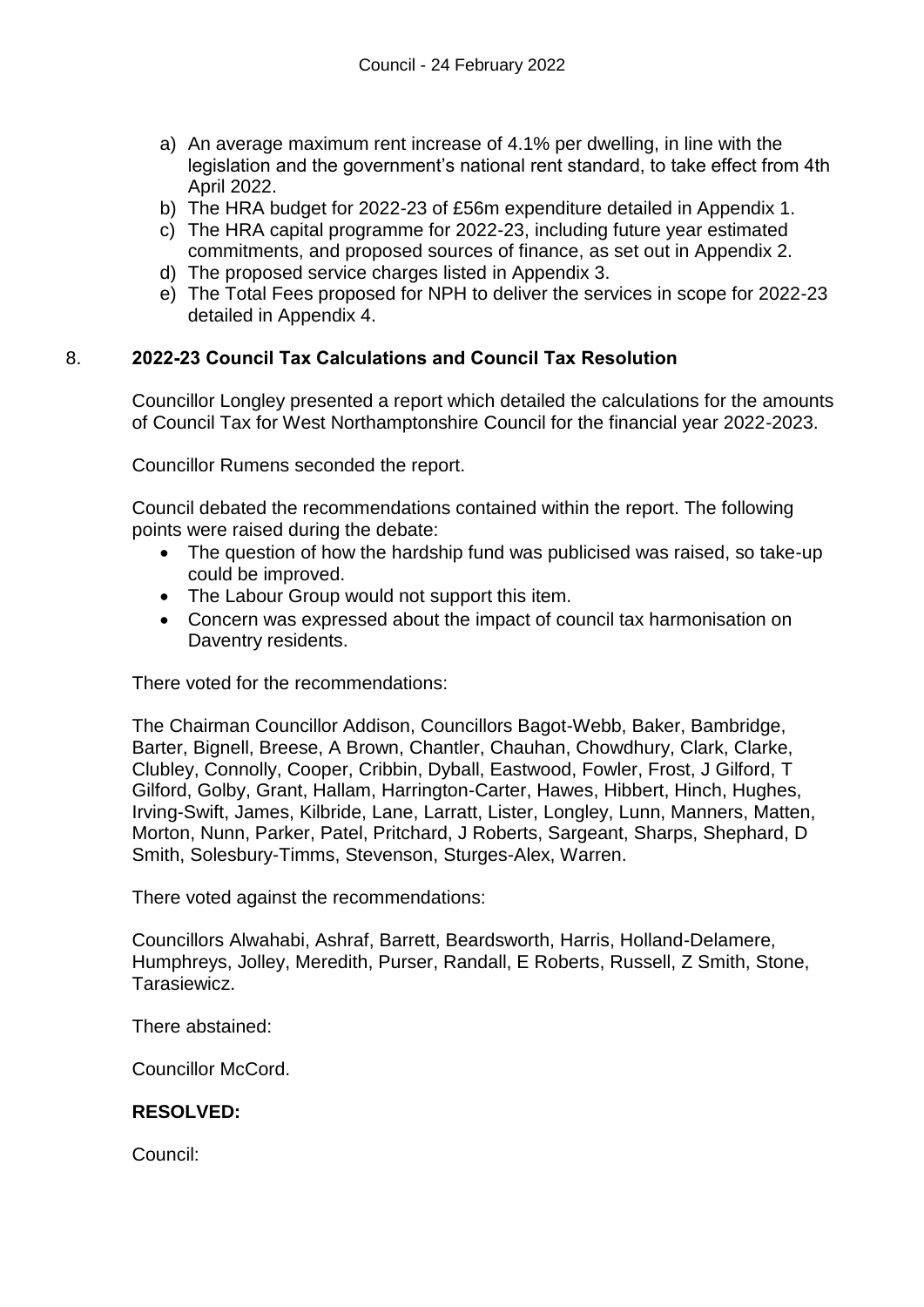- a) An average maximum rent increase of 4.1% per dwelling, in line with the legislation and the government's national rent standard, to take effect from 4th April 2022.
- b) The HRA budget for 2022-23 of £56m expenditure detailed in Appendix 1.
- c) The HRA capital programme for 2022-23, including future year estimated commitments, and proposed sources of finance, as set out in Appendix 2.
- d) The proposed service charges listed in Appendix 3.
- e) The Total Fees proposed for NPH to deliver the services in scope for 2022-23 detailed in Appendix 4.

# 8. **2022-23 Council Tax Calculations and Council Tax Resolution**

Councillor Longley presented a report which detailed the calculations for the amounts of Council Tax for West Northamptonshire Council for the financial year 2022-2023.

Councillor Rumens seconded the report.

Council debated the recommendations contained within the report. The following points were raised during the debate:

- The question of how the hardship fund was publicised was raised, so take-up could be improved.
- The Labour Group would not support this item.
- Concern was expressed about the impact of council tax harmonisation on Daventry residents.

There voted for the recommendations:

The Chairman Councillor Addison, Councillors Bagot-Webb, Baker, Bambridge, Barter, Bignell, Breese, A Brown, Chantler, Chauhan, Chowdhury, Clark, Clarke, Clubley, Connolly, Cooper, Cribbin, Dyball, Eastwood, Fowler, Frost, J Gilford, T Gilford, Golby, Grant, Hallam, Harrington-Carter, Hawes, Hibbert, Hinch, Hughes, Irving-Swift, James, Kilbride, Lane, Larratt, Lister, Longley, Lunn, Manners, Matten, Morton, Nunn, Parker, Patel, Pritchard, J Roberts, Sargeant, Sharps, Shephard, D Smith, Solesbury-Timms, Stevenson, Sturges-Alex, Warren.

There voted against the recommendations:

Councillors Alwahabi, Ashraf, Barrett, Beardsworth, Harris, Holland-Delamere, Humphreys, Jolley, Meredith, Purser, Randall, E Roberts, Russell, Z Smith, Stone, Tarasiewicz.

There abstained:

Councillor McCord.

#### **RESOLVED:**

Council: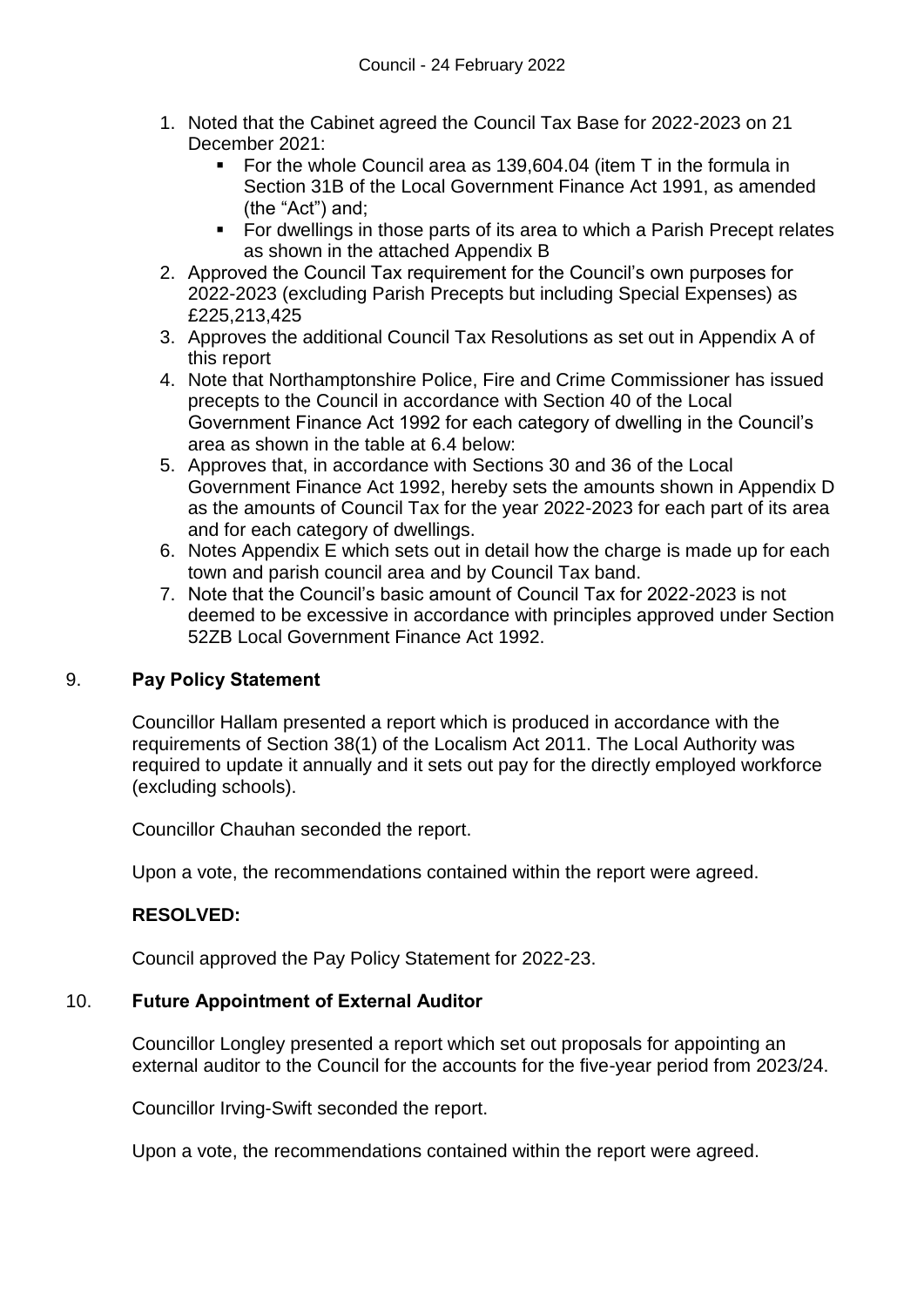- 1. Noted that the Cabinet agreed the Council Tax Base for 2022-2023 on 21 December 2021:
	- For the whole Council area as 139,604.04 (item T in the formula in Section 31B of the Local Government Finance Act 1991, as amended (the "Act") and;
	- For dwellings in those parts of its area to which a Parish Precept relates as shown in the attached Appendix B
- 2. Approved the Council Tax requirement for the Council's own purposes for 2022-2023 (excluding Parish Precepts but including Special Expenses) as £225,213,425
- 3. Approves the additional Council Tax Resolutions as set out in Appendix A of this report
- 4. Note that Northamptonshire Police, Fire and Crime Commissioner has issued precepts to the Council in accordance with Section 40 of the Local Government Finance Act 1992 for each category of dwelling in the Council's area as shown in the table at 6.4 below:
- 5. Approves that, in accordance with Sections 30 and 36 of the Local Government Finance Act 1992, hereby sets the amounts shown in Appendix D as the amounts of Council Tax for the year 2022-2023 for each part of its area and for each category of dwellings.
- 6. Notes Appendix E which sets out in detail how the charge is made up for each town and parish council area and by Council Tax band.
- 7. Note that the Council's basic amount of Council Tax for 2022-2023 is not deemed to be excessive in accordance with principles approved under Section 52ZB Local Government Finance Act 1992.

# 9. **Pay Policy Statement**

Councillor Hallam presented a report which is produced in accordance with the requirements of Section 38(1) of the Localism Act 2011. The Local Authority was required to update it annually and it sets out pay for the directly employed workforce (excluding schools).

Councillor Chauhan seconded the report.

Upon a vote, the recommendations contained within the report were agreed.

# **RESOLVED:**

Council approved the Pay Policy Statement for 2022-23.

# 10. **Future Appointment of External Auditor**

Councillor Longley presented a report which set out proposals for appointing an external auditor to the Council for the accounts for the five-year period from 2023/24.

Councillor Irving-Swift seconded the report.

Upon a vote, the recommendations contained within the report were agreed.